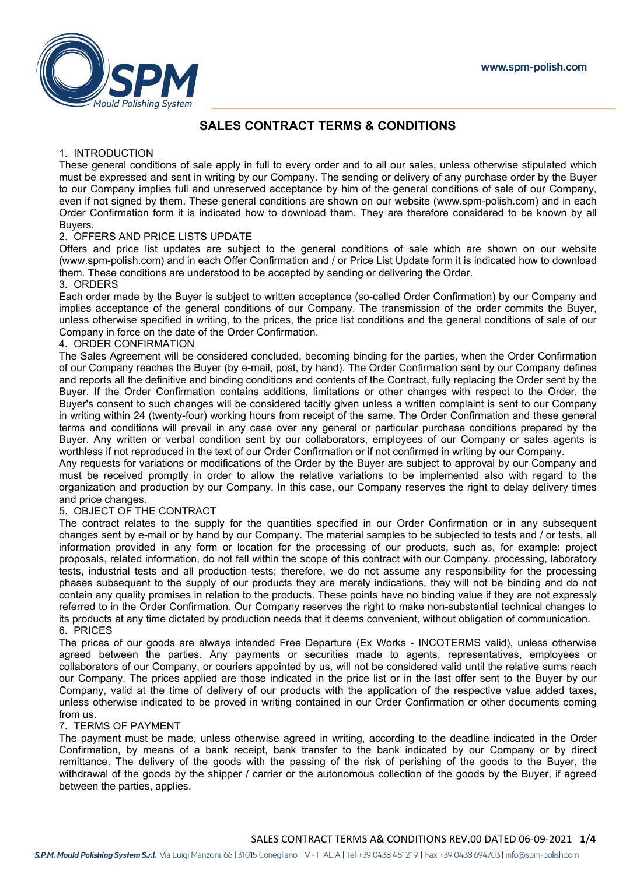

# **SALES CONTRACT TERMS & CONDITIONS**

#### 1. INTRODUCTION

These general conditions of sale apply in full to every order and to all our sales, unless otherwise stipulated which must be expressed and sent in writing by our Company. The sending or delivery of any purchase order by the Buyer to our Company implies full and unreserved acceptance by him of the general conditions of sale of our Company, even if not signed by them. These general conditions are shown on our website (www.spm-polish.com) and in each Order Confirmation form it is indicated how to download them. They are therefore considered to be known by all **Buyers** 

## 2. OFFERS AND PRICE LISTS UPDATE

Offers and price list updates are subject to the general conditions of sale which are shown on our website (www.spm-polish.com) and in each Offer Confirmation and / or Price List Update form it is indicated how to download them. These conditions are understood to be accepted by sending or delivering the Order.

### 3. ORDERS

Each order made by the Buyer is subject to written acceptance (so-called Order Confirmation) by our Company and implies acceptance of the general conditions of our Company. The transmission of the order commits the Buyer, unless otherwise specified in writing, to the prices, the price list conditions and the general conditions of sale of our Company in force on the date of the Order Confirmation.

#### 4. ORDER CONFIRMATION

The Sales Agreement will be considered concluded, becoming binding for the parties, when the Order Confirmation of our Company reaches the Buyer (by e-mail, post, by hand). The Order Confirmation sent by our Company defines and reports all the definitive and binding conditions and contents of the Contract, fully replacing the Order sent by the Buyer. If the Order Confirmation contains additions, limitations or other changes with respect to the Order, the Buyer's consent to such changes will be considered tacitly given unless a written complaint is sent to our Company in writing within 24 (twenty-four) working hours from receipt of the same. The Order Confirmation and these general terms and conditions will prevail in any case over any general or particular purchase conditions prepared by the Buyer. Any written or verbal condition sent by our collaborators, employees of our Company or sales agents is worthless if not reproduced in the text of our Order Confirmation or if not confirmed in writing by our Company.

Any requests for variations or modifications of the Order by the Buyer are subject to approval by our Company and must be received promptly in order to allow the relative variations to be implemented also with regard to the organization and production by our Company. In this case, our Company reserves the right to delay delivery times and price changes.

## 5. OBJECT OF THE CONTRACT

The contract relates to the supply for the quantities specified in our Order Confirmation or in any subsequent changes sent by e-mail or by hand by our Company. The material samples to be subjected to tests and / or tests, all information provided in any form or location for the processing of our products, such as, for example: project proposals, related information, do not fall within the scope of this contract with our Company. processing, laboratory tests, industrial tests and all production tests; therefore, we do not assume any responsibility for the processing phases subsequent to the supply of our products they are merely indications, they will not be binding and do not contain any quality promises in relation to the products. These points have no binding value if they are not expressly referred to in the Order Confirmation. Our Company reserves the right to make non-substantial technical changes to its products at any time dictated by production needs that it deems convenient, without obligation of communication. 6. PRICES

The prices of our goods are always intended Free Departure (Ex Works - INCOTERMS valid), unless otherwise agreed between the parties. Any payments or securities made to agents, representatives, employees or collaborators of our Company, or couriers appointed by us, will not be considered valid until the relative sums reach our Company. The prices applied are those indicated in the price list or in the last offer sent to the Buyer by our Company, valid at the time of delivery of our products with the application of the respective value added taxes, unless otherwise indicated to be proved in writing contained in our Order Confirmation or other documents coming from us.

#### 7. TERMS OF PAYMENT

The payment must be made, unless otherwise agreed in writing, according to the deadline indicated in the Order Confirmation, by means of a bank receipt, bank transfer to the bank indicated by our Company or by direct remittance. The delivery of the goods with the passing of the risk of perishing of the goods to the Buyer, the withdrawal of the goods by the shipper / carrier or the autonomous collection of the goods by the Buyer, if agreed between the parties, applies.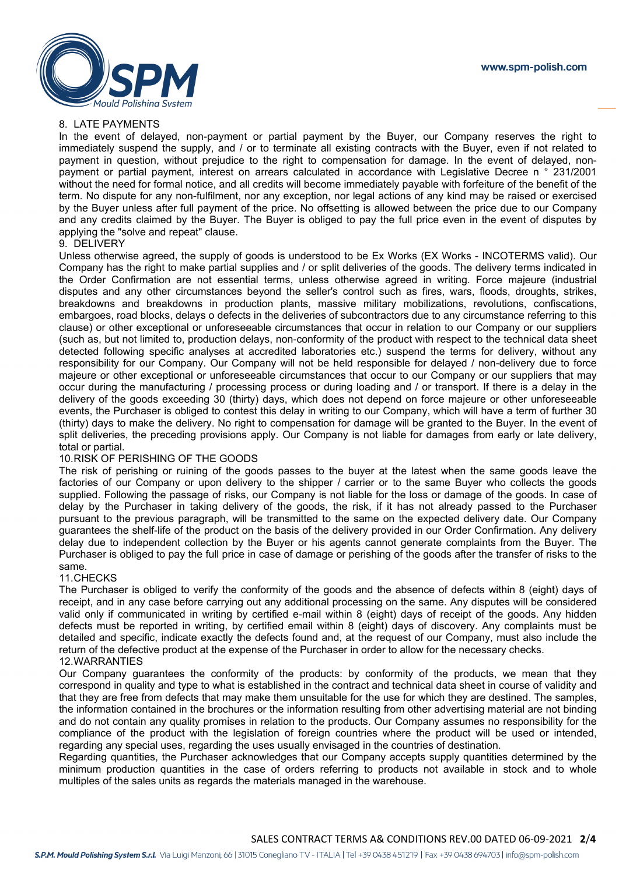www.spm-polish.com



### 8. LATE PAYMENTS

In the event of delayed, non-payment or partial payment by the Buyer, our Company reserves the right to immediately suspend the supply, and / or to terminate all existing contracts with the Buyer, even if not related to payment in question, without prejudice to the right to compensation for damage. In the event of delayed, nonpayment or partial payment, interest on arrears calculated in accordance with Legislative Decree n ° 231/2001 without the need for formal notice, and all credits will become immediately payable with forfeiture of the benefit of the term. No dispute for any non-fulfilment, nor any exception, nor legal actions of any kind may be raised or exercised by the Buyer unless after full payment of the price. No offsetting is allowed between the price due to our Company and any credits claimed by the Buyer. The Buyer is obliged to pay the full price even in the event of disputes by applying the "solve and repeat" clause.

#### 9. DELIVERY

Unless otherwise agreed, the supply of goods is understood to be Ex Works (EX Works - INCOTERMS valid). Our Company has the right to make partial supplies and / or split deliveries of the goods. The delivery terms indicated in the Order Confirmation are not essential terms, unless otherwise agreed in writing. Force majeure (industrial disputes and any other circumstances beyond the seller's control such as fires, wars, floods, droughts, strikes, breakdowns and breakdowns in production plants, massive military mobilizations, revolutions, confiscations, embargoes, road blocks, delays o defects in the deliveries of subcontractors due to any circumstance referring to this clause) or other exceptional or unforeseeable circumstances that occur in relation to our Company or our suppliers (such as, but not limited to, production delays, non-conformity of the product with respect to the technical data sheet detected following specific analyses at accredited laboratories etc.) suspend the terms for delivery, without any responsibility for our Company. Our Company will not be held responsible for delayed / non-delivery due to force majeure or other exceptional or unforeseeable circumstances that occur to our Company or our suppliers that may occur during the manufacturing / processing process or during loading and / or transport. If there is a delay in the delivery of the goods exceeding 30 (thirty) days, which does not depend on force majeure or other unforeseeable events, the Purchaser is obliged to contest this delay in writing to our Company, which will have a term of further 30 (thirty) days to make the delivery. No right to compensation for damage will be granted to the Buyer. In the event of split deliveries, the preceding provisions apply. Our Company is not liable for damages from early or late delivery, total or partial.

#### 10.RISK OF PERISHING OF THE GOODS

The risk of perishing or ruining of the goods passes to the buyer at the latest when the same goods leave the factories of our Company or upon delivery to the shipper / carrier or to the same Buyer who collects the goods supplied. Following the passage of risks, our Company is not liable for the loss or damage of the goods. In case of delay by the Purchaser in taking delivery of the goods, the risk, if it has not already passed to the Purchaser pursuant to the previous paragraph, will be transmitted to the same on the expected delivery date. Our Company guarantees the shelf-life of the product on the basis of the delivery provided in our Order Confirmation. Any delivery delay due to independent collection by the Buyer or his agents cannot generate complaints from the Buyer. The Purchaser is obliged to pay the full price in case of damage or perishing of the goods after the transfer of risks to the same.

#### 11.CHECKS

The Purchaser is obliged to verify the conformity of the goods and the absence of defects within 8 (eight) days of receipt, and in any case before carrying out any additional processing on the same. Any disputes will be considered valid only if communicated in writing by certified e-mail within 8 (eight) days of receipt of the goods. Any hidden defects must be reported in writing, by certified email within 8 (eight) days of discovery. Any complaints must be detailed and specific, indicate exactly the defects found and, at the request of our Company, must also include the return of the defective product at the expense of the Purchaser in order to allow for the necessary checks. 12.WARRANTIES

#### Our Company guarantees the conformity of the products: by conformity of the products, we mean that they correspond in quality and type to what is established in the contract and technical data sheet in course of validity and that they are free from defects that may make them unsuitable for the use for which they are destined. The samples, the information contained in the brochures or the information resulting from other advertising material are not binding and do not contain any quality promises in relation to the products. Our Company assumes no responsibility for the compliance of the product with the legislation of foreign countries where the product will be used or intended, regarding any special uses, regarding the uses usually envisaged in the countries of destination.

Regarding quantities, the Purchaser acknowledges that our Company accepts supply quantities determined by the minimum production quantities in the case of orders referring to products not available in stock and to whole multiples of the sales units as regards the materials managed in the warehouse.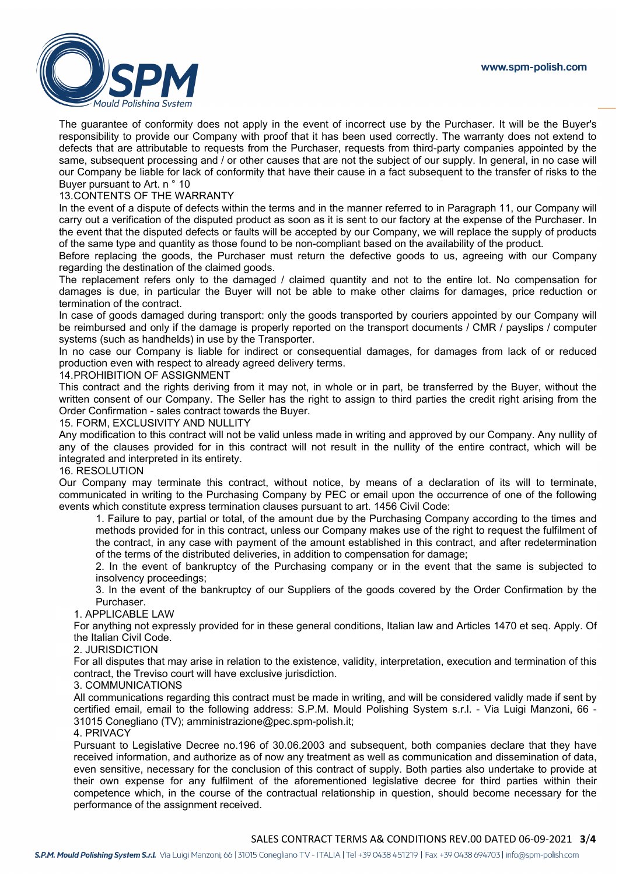

The guarantee of conformity does not apply in the event of incorrect use by the Purchaser. It will be the Buyer's responsibility to provide our Company with proof that it has been used correctly. The warranty does not extend to defects that are attributable to requests from the Purchaser, requests from third-party companies appointed by the same, subsequent processing and / or other causes that are not the subject of our supply. In general, in no case will our Company be liable for lack of conformity that have their cause in a fact subsequent to the transfer of risks to the Buyer pursuant to Art. n ° 10

#### 13.CONTENTS OF THE WARRANTY

In the event of a dispute of defects within the terms and in the manner referred to in Paragraph 11, our Company will carry out a verification of the disputed product as soon as it is sent to our factory at the expense of the Purchaser. In the event that the disputed defects or faults will be accepted by our Company, we will replace the supply of products of the same type and quantity as those found to be non-compliant based on the availability of the product.

Before replacing the goods, the Purchaser must return the defective goods to us, agreeing with our Company regarding the destination of the claimed goods.

The replacement refers only to the damaged / claimed quantity and not to the entire lot. No compensation for damages is due, in particular the Buyer will not be able to make other claims for damages, price reduction or termination of the contract.

In case of goods damaged during transport: only the goods transported by couriers appointed by our Company will be reimbursed and only if the damage is properly reported on the transport documents / CMR / payslips / computer systems (such as handhelds) in use by the Transporter.

In no case our Company is liable for indirect or consequential damages, for damages from lack of or reduced production even with respect to already agreed delivery terms.

#### 14.PROHIBITION OF ASSIGNMENT

This contract and the rights deriving from it may not, in whole or in part, be transferred by the Buyer, without the written consent of our Company. The Seller has the right to assign to third parties the credit right arising from the Order Confirmation - sales contract towards the Buyer.

#### 15. FORM, EXCLUSIVITY AND NULLITY

Any modification to this contract will not be valid unless made in writing and approved by our Company. Any nullity of any of the clauses provided for in this contract will not result in the nullity of the entire contract, which will be integrated and interpreted in its entirety.

#### 16. RESOLUTION

Our Company may terminate this contract, without notice, by means of a declaration of its will to terminate, communicated in writing to the Purchasing Company by PEC or email upon the occurrence of one of the following events which constitute express termination clauses pursuant to art. 1456 Civil Code:

1. Failure to pay, partial or total, of the amount due by the Purchasing Company according to the times and methods provided for in this contract, unless our Company makes use of the right to request the fulfilment of the contract, in any case with payment of the amount established in this contract, and after redetermination of the terms of the distributed deliveries, in addition to compensation for damage;

2. In the event of bankruptcy of the Purchasing company or in the event that the same is subjected to insolvency proceedings;

3. In the event of the bankruptcy of our Suppliers of the goods covered by the Order Confirmation by the Purchaser.

#### 1. APPLICABLE LAW

For anything not expressly provided for in these general conditions, Italian law and Articles 1470 et seq. Apply. Of the Italian Civil Code.

#### 2. JURISDICTION

For all disputes that may arise in relation to the existence, validity, interpretation, execution and termination of this contract, the Treviso court will have exclusive jurisdiction.

#### 3. COMMUNICATIONS

All communications regarding this contract must be made in writing, and will be considered validly made if sent by certified email, email to the following address: S.P.M. Mould Polishing System s.r.l. - Via Luigi Manzoni, 66 - 31015 Conegliano (TV); amministrazione@pec.spm-polish.it;

#### 4. PRIVACY

Pursuant to Legislative Decree no.196 of 30.06.2003 and subsequent, both companies declare that they have received information, and authorize as of now any treatment as well as communication and dissemination of data, even sensitive, necessary for the conclusion of this contract of supply. Both parties also undertake to provide at their own expense for any fulfilment of the aforementioned legislative decree for third parties within their competence which, in the course of the contractual relationship in question, should become necessary for the performance of the assignment received.